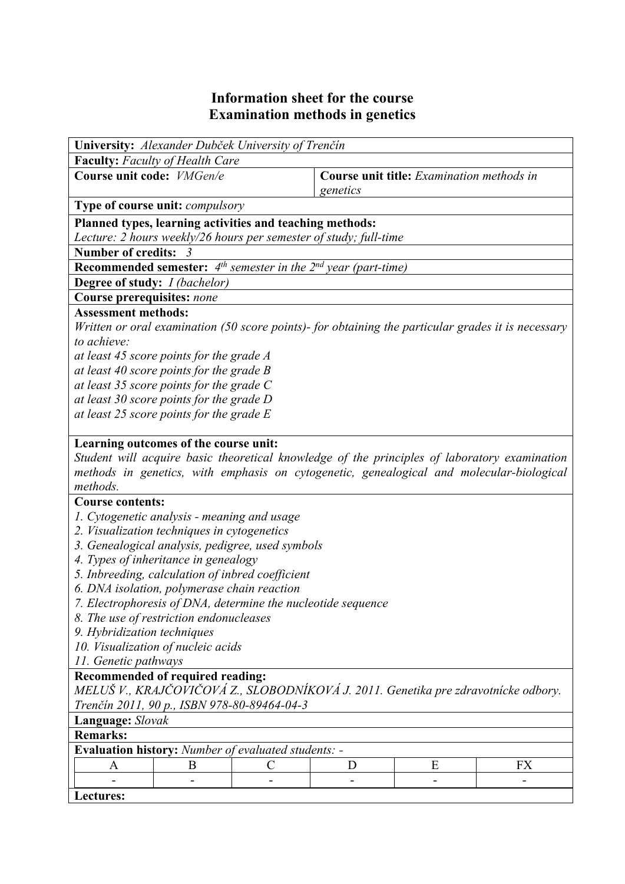## **Information sheet for the course Examination methods in genetics**

| University: Alexander Dubček University of Trenčín                                                 |   |              |          |                                           |           |
|----------------------------------------------------------------------------------------------------|---|--------------|----------|-------------------------------------------|-----------|
| <b>Faculty:</b> Faculty of Health Care                                                             |   |              |          |                                           |           |
| Course unit code: VMGen/e                                                                          |   |              |          | Course unit title: Examination methods in |           |
|                                                                                                    |   |              | genetics |                                           |           |
| <b>Type of course unit: compulsory</b>                                                             |   |              |          |                                           |           |
| Planned types, learning activities and teaching methods:                                           |   |              |          |                                           |           |
| Lecture: 2 hours weekly/26 hours per semester of study; full-time                                  |   |              |          |                                           |           |
| <b>Number of credits:</b>                                                                          |   |              |          |                                           |           |
| <b>Recommended semester:</b> $4^{th}$ semester in the $2^{nd}$ year (part-time)                    |   |              |          |                                           |           |
| Degree of study: I (bachelor)                                                                      |   |              |          |                                           |           |
| Course prerequisites: none                                                                         |   |              |          |                                           |           |
| <b>Assessment methods:</b>                                                                         |   |              |          |                                           |           |
| Written or oral examination (50 score points)- for obtaining the particular grades it is necessary |   |              |          |                                           |           |
| to achieve:                                                                                        |   |              |          |                                           |           |
| at least 45 score points for the grade A                                                           |   |              |          |                                           |           |
| at least 40 score points for the grade B                                                           |   |              |          |                                           |           |
| at least 35 score points for the grade $C$                                                         |   |              |          |                                           |           |
| at least 30 score points for the grade D                                                           |   |              |          |                                           |           |
| at least 25 score points for the grade $E$                                                         |   |              |          |                                           |           |
|                                                                                                    |   |              |          |                                           |           |
| Learning outcomes of the course unit:                                                              |   |              |          |                                           |           |
| Student will acquire basic theoretical knowledge of the principles of laboratory examination       |   |              |          |                                           |           |
| methods in genetics, with emphasis on cytogenetic, genealogical and molecular-biological           |   |              |          |                                           |           |
| methods.                                                                                           |   |              |          |                                           |           |
| <b>Course contents:</b>                                                                            |   |              |          |                                           |           |
| 1. Cytogenetic analysis - meaning and usage                                                        |   |              |          |                                           |           |
| 2. Visualization techniques in cytogenetics                                                        |   |              |          |                                           |           |
| 3. Genealogical analysis, pedigree, used symbols                                                   |   |              |          |                                           |           |
| 4. Types of inheritance in genealogy                                                               |   |              |          |                                           |           |
| 5. Inbreeding, calculation of inbred coefficient                                                   |   |              |          |                                           |           |
| 6. DNA isolation, polymerase chain reaction                                                        |   |              |          |                                           |           |
| 7. Electrophoresis of DNA, determine the nucleotide sequence                                       |   |              |          |                                           |           |
| 8. The use of restriction endonucleases                                                            |   |              |          |                                           |           |
| 9. Hybridization techniques                                                                        |   |              |          |                                           |           |
| 10. Visualization of nucleic acids                                                                 |   |              |          |                                           |           |
| 11. Genetic pathways                                                                               |   |              |          |                                           |           |
| Recommended of required reading:                                                                   |   |              |          |                                           |           |
| MELUŠ V., KRAJČOVIČOVÁ Z., SLOBODNÍKOVÁ J. 2011. Genetika pre zdravotnícke odbory.                 |   |              |          |                                           |           |
| Trenčín 2011, 90 p., ISBN 978-80-89464-04-3                                                        |   |              |          |                                           |           |
| Language: Slovak                                                                                   |   |              |          |                                           |           |
| <b>Remarks:</b>                                                                                    |   |              |          |                                           |           |
| <b>Evaluation history:</b> Number of evaluated students: -                                         |   |              |          |                                           |           |
| A                                                                                                  | B | $\mathcal C$ | D        | E                                         | <b>FX</b> |
|                                                                                                    |   |              |          |                                           |           |
| Lectures:                                                                                          |   |              |          |                                           |           |
|                                                                                                    |   |              |          |                                           |           |